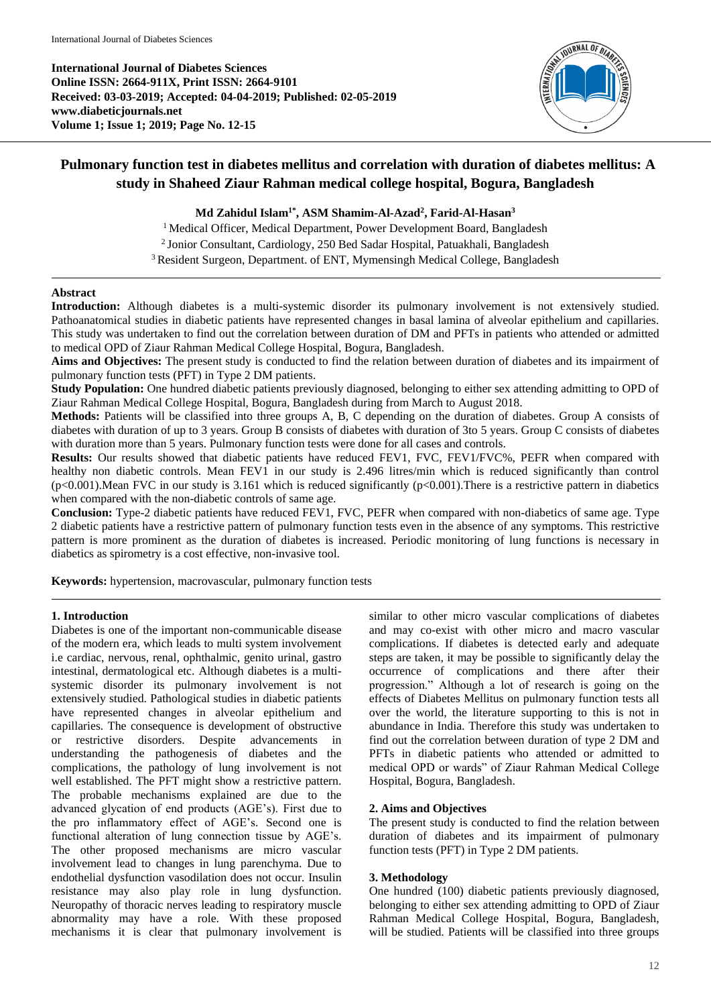**International Journal of Diabetes Sciences Online ISSN: 2664-911X, Print ISSN: 2664-9101 Received: 03-03-2019; Accepted: 04-04-2019; Published: 02-05-2019 www.diabeticjournals.net Volume 1; Issue 1; 2019; Page No. 12-15**



# **Pulmonary function test in diabetes mellitus and correlation with duration of diabetes mellitus: A study in Shaheed Ziaur Rahman medical college hospital, Bogura, Bangladesh**

### **Md Zahidul Islam1\* , ASM Shamim-Al-Azad<sup>2</sup> , Farid-Al-Hasan<sup>3</sup>**

<sup>1</sup> Medical Officer, Medical Department, Power Development Board, Bangladesh 2 Jonior Consultant, Cardiology, 250 Bed Sadar Hospital, Patuakhali, Bangladesh <sup>3</sup> Resident Surgeon, Department. of ENT, Mymensingh Medical College, Bangladesh

#### **Abstract**

**Introduction:** Although diabetes is a multi-systemic disorder its pulmonary involvement is not extensively studied. Pathoanatomical studies in diabetic patients have represented changes in basal lamina of alveolar epithelium and capillaries. This study was undertaken to find out the correlation between duration of DM and PFTs in patients who attended or admitted to medical OPD of Ziaur Rahman Medical College Hospital, Bogura, Bangladesh.

**Aims and Objectives:** The present study is conducted to find the relation between duration of diabetes and its impairment of pulmonary function tests (PFT) in Type 2 DM patients.

**Study Population:** One hundred diabetic patients previously diagnosed, belonging to either sex attending admitting to OPD of Ziaur Rahman Medical College Hospital, Bogura, Bangladesh during from March to August 2018.

**Methods:** Patients will be classified into three groups A, B, C depending on the duration of diabetes. Group A consists of diabetes with duration of up to 3 years. Group B consists of diabetes with duration of 3to 5 years. Group C consists of diabetes with duration more than 5 years. Pulmonary function tests were done for all cases and controls.

**Results:** Our results showed that diabetic patients have reduced FEV1, FVC, FEV1/FVC%, PEFR when compared with healthy non diabetic controls. Mean FEV1 in our study is 2.496 litres/min which is reduced significantly than control  $(p<0.001)$ . Mean FVC in our study is 3.161 which is reduced significantly  $(p<0.001)$ . There is a restrictive pattern in diabetics when compared with the non-diabetic controls of same age.

**Conclusion:** Type-2 diabetic patients have reduced FEV1, FVC, PEFR when compared with non-diabetics of same age. Type 2 diabetic patients have a restrictive pattern of pulmonary function tests even in the absence of any symptoms. This restrictive pattern is more prominent as the duration of diabetes is increased. Periodic monitoring of lung functions is necessary in diabetics as spirometry is a cost effective, non-invasive tool.

**Keywords:** hypertension, macrovascular, pulmonary function tests

## **1. Introduction**

Diabetes is one of the important non-communicable disease of the modern era, which leads to multi system involvement i.e cardiac, nervous, renal, ophthalmic, genito urinal, gastro intestinal, dermatological etc. Although diabetes is a multisystemic disorder its pulmonary involvement is not extensively studied. Pathological studies in diabetic patients have represented changes in alveolar epithelium and capillaries. The consequence is development of obstructive or restrictive disorders. Despite advancements in understanding the pathogenesis of diabetes and the complications, the pathology of lung involvement is not well established. The PFT might show a restrictive pattern. The probable mechanisms explained are due to the advanced glycation of end products (AGE's). First due to the pro inflammatory effect of AGE's. Second one is functional alteration of lung connection tissue by AGE's. The other proposed mechanisms are micro vascular involvement lead to changes in lung parenchyma. Due to endothelial dysfunction vasodilation does not occur. Insulin resistance may also play role in lung dysfunction. Neuropathy of thoracic nerves leading to respiratory muscle abnormality may have a role. With these proposed mechanisms it is clear that pulmonary involvement is

similar to other micro vascular complications of diabetes and may co-exist with other micro and macro vascular complications. If diabetes is detected early and adequate steps are taken, it may be possible to significantly delay the occurrence of complications and there after their progression." Although a lot of research is going on the effects of Diabetes Mellitus on pulmonary function tests all over the world, the literature supporting to this is not in abundance in India. Therefore this study was undertaken to find out the correlation between duration of type 2 DM and PFTs in diabetic patients who attended or admitted to medical OPD or wards" of Ziaur Rahman Medical College Hospital, Bogura, Bangladesh.

#### **2. Aims and Objectives**

The present study is conducted to find the relation between duration of diabetes and its impairment of pulmonary function tests (PFT) in Type 2 DM patients.

#### **3. Methodology**

One hundred (100) diabetic patients previously diagnosed, belonging to either sex attending admitting to OPD of Ziaur Rahman Medical College Hospital, Bogura, Bangladesh, will be studied. Patients will be classified into three groups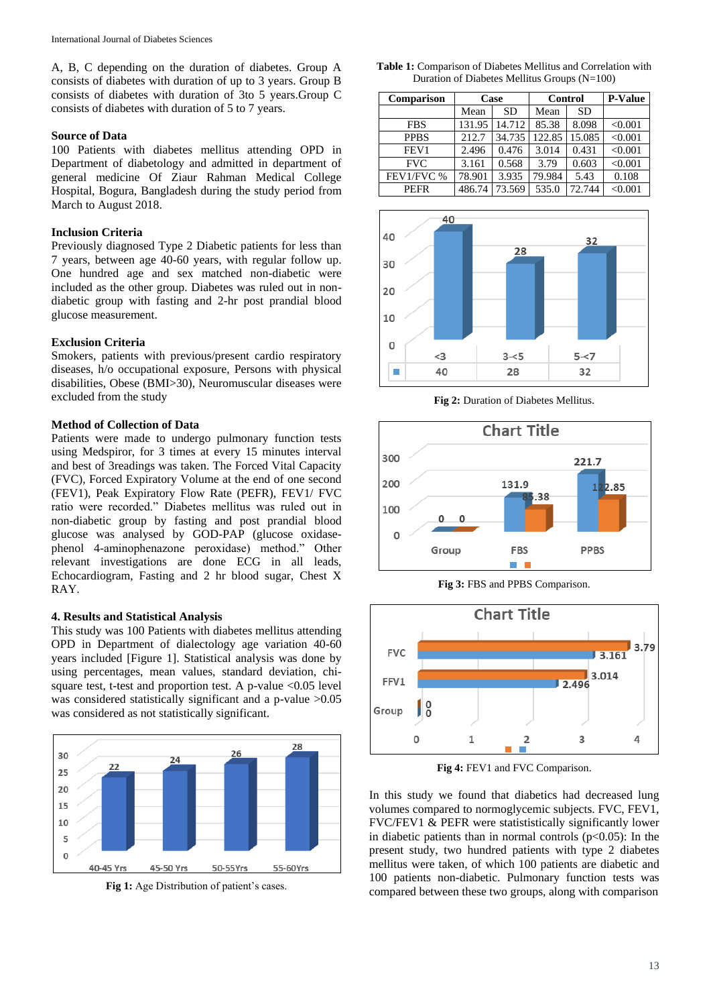A, B, C depending on the duration of diabetes. Group A consists of diabetes with duration of up to 3 years. Group B consists of diabetes with duration of 3to 5 years.Group C consists of diabetes with duration of 5 to 7 years.

#### **Source of Data**

100 Patients with diabetes mellitus attending OPD in Department of diabetology and admitted in department of general medicine Of Ziaur Rahman Medical College Hospital, Bogura, Bangladesh during the study period from March to August 2018.

#### **Inclusion Criteria**

Previously diagnosed Type 2 Diabetic patients for less than 7 years, between age 40-60 years, with regular follow up. One hundred age and sex matched non-diabetic were included as the other group. Diabetes was ruled out in nondiabetic group with fasting and 2-hr post prandial blood glucose measurement.

#### **Exclusion Criteria**

Smokers, patients with previous/present cardio respiratory diseases, h/o occupational exposure, Persons with physical disabilities, Obese (BMI>30), Neuromuscular diseases were excluded from the study

#### **Method of Collection of Data**

Patients were made to undergo pulmonary function tests using Medspiror, for 3 times at every 15 minutes interval and best of 3readings was taken. The Forced Vital Capacity (FVC), Forced Expiratory Volume at the end of one second (FEV1), Peak Expiratory Flow Rate (PEFR), FEV1/ FVC ratio were recorded." Diabetes mellitus was ruled out in non-diabetic group by fasting and post prandial blood glucose was analysed by GOD-PAP (glucose oxidasephenol 4-aminophenazone peroxidase) method." Other relevant investigations are done ECG in all leads, Echocardiogram, Fasting and 2 hr blood sugar, Chest X RAY.

#### **4. Results and Statistical Analysis**

This study was 100 Patients with diabetes mellitus attending OPD in Department of dialectology age variation 40-60 years included [Figure 1]. Statistical analysis was done by using percentages, mean values, standard deviation, chisquare test, t-test and proportion test. A p-value <0.05 level was considered statistically significant and a p-value >0.05 was considered as not statistically significant.



**Fig 1:** Age Distribution of patient's cases.

**Table 1:** Comparison of Diabetes Mellitus and Correlation with Duration of Diabetes Mellitus Groups (N=100)

| Comparison       | Case   |           | Control |           | <b>P-Value</b> |
|------------------|--------|-----------|---------|-----------|----------------|
|                  | Mean   | <b>SD</b> | Mean    | <b>SD</b> |                |
| <b>FBS</b>       | 131.95 | 14.712    | 85.38   | 8.098     | < 0.001        |
| <b>PPBS</b>      | 212.7  | 34.735    | 122.85  | 15.085    | < 0.001        |
| FEV <sub>1</sub> | 2.496  | 0.476     | 3.014   | 0.431     | < 0.001        |
| <b>FVC</b>       | 3.161  | 0.568     | 3.79    | 0.603     | < 0.001        |
| FEV1/FVC %       | 78.901 | 3.935     | 79.984  | 5.43      | 0.108          |
| <b>PEFR</b>      | 486.74 | 73.569    | 535.0   | 72.744    | < 0.001        |



**Fig 2:** Duration of Diabetes Mellitus.



**Fig 3:** FBS and PPBS Comparison.



**Fig 4:** FEV1 and FVC Comparison.

In this study we found that diabetics had decreased lung volumes compared to normoglycemic subjects. FVC, FEV1, FVC/FEV1 & PEFR were statististically significantly lower in diabetic patients than in normal controls  $(p<0.05)$ : In the present study, two hundred patients with type 2 diabetes mellitus were taken, of which 100 patients are diabetic and 100 patients non-diabetic. Pulmonary function tests was compared between these two groups, along with comparison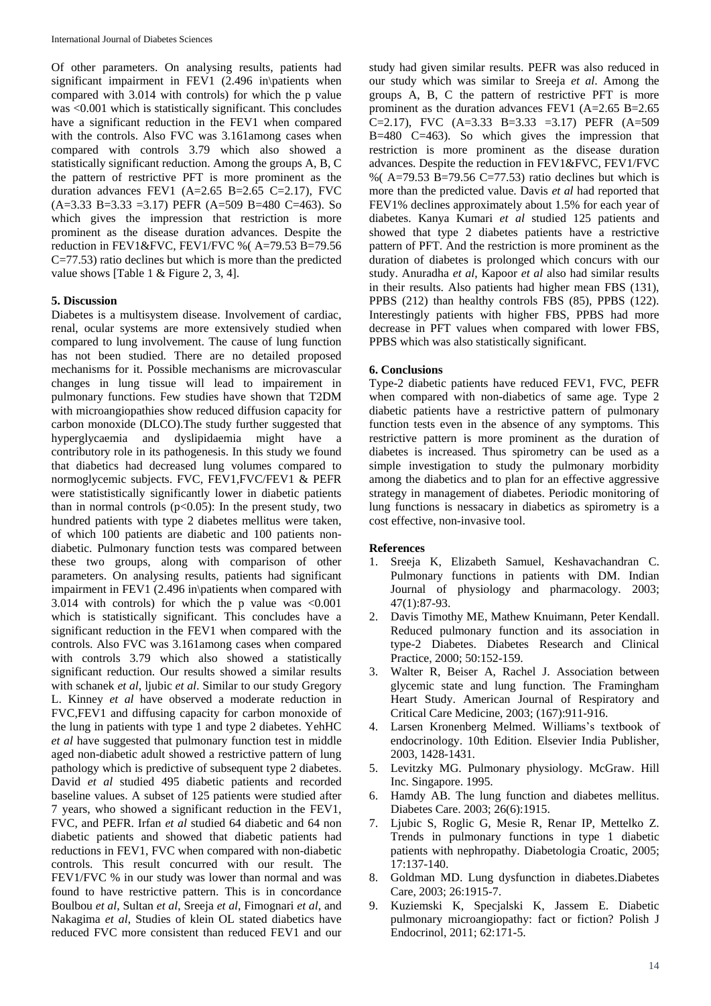Of other parameters. On analysing results, patients had significant impairment in FEV1 (2.496 in\patients when compared with 3.014 with controls) for which the p value was <0.001 which is statistically significant. This concludes have a significant reduction in the FEV1 when compared with the controls. Also FVC was 3.161among cases when compared with controls 3.79 which also showed a statistically significant reduction. Among the groups A, B, C the pattern of restrictive PFT is more prominent as the duration advances FEV1  $(A=2.65 B=2.65 C=2.17)$ , FVC  $(A=3.33 \text{ B} = 3.33 = 3.17)$  PEFR  $(A=509 \text{ B} = 480 \text{ C} = 463)$ . So which gives the impression that restriction is more prominent as the disease duration advances. Despite the reduction in FEV1&FVC, FEV1/FVC %( A=79.53 B=79.56 C=77.53) ratio declines but which is more than the predicted value shows [Table 1 & Figure 2, 3, 4].

## **5. Discussion**

Diabetes is a multisystem disease. Involvement of cardiac, renal, ocular systems are more extensively studied when compared to lung involvement. The cause of lung function has not been studied. There are no detailed proposed mechanisms for it. Possible mechanisms are microvascular changes in lung tissue will lead to impairement in pulmonary functions. Few studies have shown that T2DM with microangiopathies show reduced diffusion capacity for carbon monoxide (DLCO).The study further suggested that hyperglycaemia and dyslipidaemia might have a contributory role in its pathogenesis. In this study we found that diabetics had decreased lung volumes compared to normoglycemic subjects. FVC, FEV1,FVC/FEV1 & PEFR were statististically significantly lower in diabetic patients than in normal controls  $(p<0.05)$ : In the present study, two hundred patients with type 2 diabetes mellitus were taken, of which 100 patients are diabetic and 100 patients nondiabetic. Pulmonary function tests was compared between these two groups, along with comparison of other parameters. On analysing results, patients had significant impairment in FEV1 (2.496 in\patients when compared with 3.014 with controls) for which the p value was <0.001 which is statistically significant. This concludes have a significant reduction in the FEV1 when compared with the controls. Also FVC was 3.161among cases when compared with controls 3.79 which also showed a statistically significant reduction. Our results showed a similar results with schanek *et al*, ljubic *et al*. Similar to our study Gregory L. Kinney *et al* have observed a moderate reduction in FVC,FEV1 and diffusing capacity for carbon monoxide of the lung in patients with type 1 and type 2 diabetes. YehHC *et al* have suggested that pulmonary function test in middle aged non-diabetic adult showed a restrictive pattern of lung pathology which is predictive of subsequent type 2 diabetes. David *et al* studied 495 diabetic patients and recorded baseline values. A subset of 125 patients were studied after 7 years, who showed a significant reduction in the FEV1, FVC, and PEFR. Irfan *et al* studied 64 diabetic and 64 non diabetic patients and showed that diabetic patients had reductions in FEV1, FVC when compared with non-diabetic controls. This result concurred with our result. The FEV1/FVC % in our study was lower than normal and was found to have restrictive pattern. This is in concordance Boulbou *et al*, Sultan *et al*, Sreeja *et al*, Fimognari *et al*, and Nakagima *et al*, Studies of klein OL stated diabetics have reduced FVC more consistent than reduced FEV1 and our

study had given similar results. PEFR was also reduced in our study which was similar to Sreeja *et al*. Among the groups A, B, C the pattern of restrictive PFT is more prominent as the duration advances FEV1 (A=2.65 B=2.65 C=2.17), FVC (A=3.33 B=3.33 =3.17) PEFR (A=509 B=480 C=463). So which gives the impression that restriction is more prominent as the disease duration advances. Despite the reduction in FEV1&FVC, FEV1/FVC %( $A=79.53 B=79.56 C=77.53$ ) ratio declines but which is more than the predicted value. Davis *et al* had reported that FEV1% declines approximately about 1.5% for each year of diabetes. Kanya Kumari *et al* studied 125 patients and showed that type 2 diabetes patients have a restrictive pattern of PFT. And the restriction is more prominent as the duration of diabetes is prolonged which concurs with our study. Anuradha *et al*, Kapoor *et al* also had similar results in their results. Also patients had higher mean FBS (131), PPBS (212) than healthy controls FBS (85), PPBS (122). Interestingly patients with higher FBS, PPBS had more decrease in PFT values when compared with lower FBS, PPBS which was also statistically significant.

#### **6. Conclusions**

Type-2 diabetic patients have reduced FEV1, FVC, PEFR when compared with non-diabetics of same age. Type 2 diabetic patients have a restrictive pattern of pulmonary function tests even in the absence of any symptoms. This restrictive pattern is more prominent as the duration of diabetes is increased. Thus spirometry can be used as a simple investigation to study the pulmonary morbidity among the diabetics and to plan for an effective aggressive strategy in management of diabetes. Periodic monitoring of lung functions is nessacary in diabetics as spirometry is a cost effective, non-invasive tool.

#### **References**

- 1. Sreeja K, Elizabeth Samuel, Keshavachandran C. Pulmonary functions in patients with DM. Indian Journal of physiology and pharmacology. 2003; 47(1):87-93.
- 2. Davis Timothy ME, Mathew Knuimann, Peter Kendall. Reduced pulmonary function and its association in type-2 Diabetes. Diabetes Research and Clinical Practice, 2000; 50:152-159.
- 3. Walter R, Beiser A, Rachel J. Association between glycemic state and lung function. The Framingham Heart Study. American Journal of Respiratory and Critical Care Medicine, 2003; (167):911-916.
- 4. Larsen Kronenberg Melmed. Williams's textbook of endocrinology. 10th Edition. Elsevier India Publisher, 2003, 1428-1431.
- 5. Levitzky MG. Pulmonary physiology. McGraw. Hill Inc. Singapore. 1995.
- 6. Hamdy AB. The lung function and diabetes mellitus. Diabetes Care. 2003; 26(6):1915.
- 7. Ljubic S, Roglic G, Mesie R, Renar IP, Mettelko Z. Trends in pulmonary functions in type 1 diabetic patients with nephropathy. Diabetologia Croatic, 2005; 17:137-140.
- 8. Goldman MD. Lung dysfunction in diabetes.Diabetes Care, 2003; 26:1915-7.
- 9. Kuziemski K, Specjalski K, Jassem E. Diabetic pulmonary microangiopathy: fact or fiction? Polish J Endocrinol, 2011; 62:171-5.